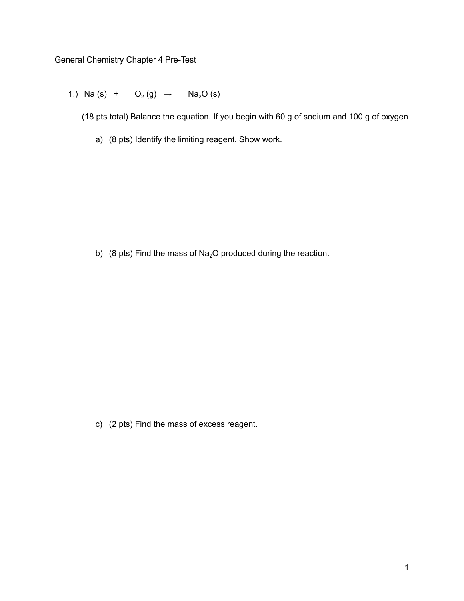General Chemistry Chapter 4 Pre-Test

1.) Na (s) +  $O_2(g) \rightarrow Na_2O(s)$ 

(18 pts total) Balance the equation. If you begin with 60 g of sodium and 100 g of oxygen

a) (8 pts) Identify the limiting reagent. Show work.

b) (8 pts) Find the mass of  $Na<sub>2</sub>O$  produced during the reaction.

c) (2 pts) Find the mass of excess reagent.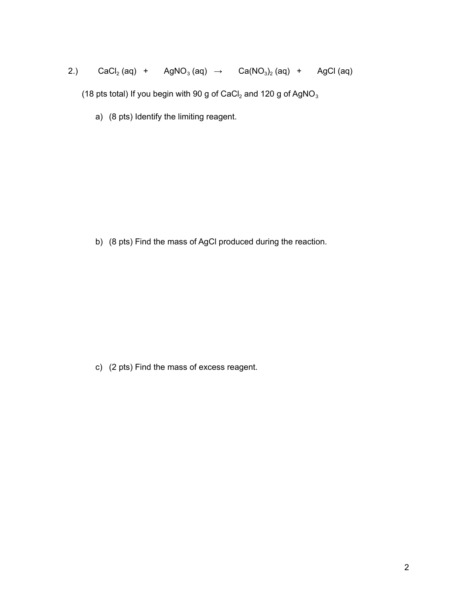## 2.)  $CaCl<sub>2</sub>(aq) + AgNO<sub>3</sub>(aq) \rightarrow Ca(NO<sub>3</sub>)<sub>2</sub>(aq) + AgCl (aq)$

(18 pts total) If you begin with 90 g of CaCl<sub>2</sub> and 120 g of AgNO<sub>3</sub>

a) (8 pts) Identify the limiting reagent.

b) (8 pts) Find the mass of AgCl produced during the reaction.

c) (2 pts) Find the mass of excess reagent.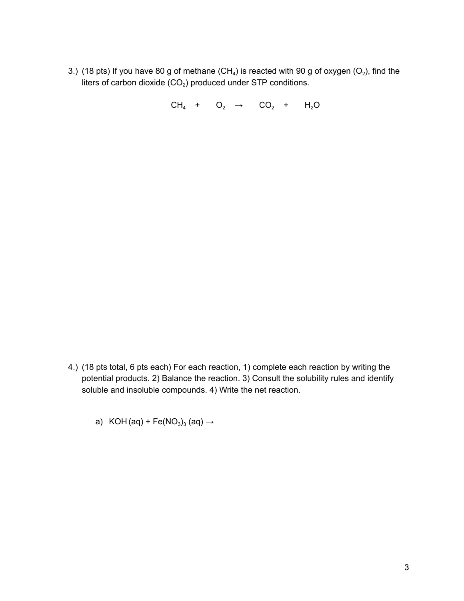3.) (18 pts) If you have 80 g of methane (CH<sub>4</sub>) is reacted with 90 g of oxygen (O<sub>2</sub>), find the liters of carbon dioxide  $(CO_2)$  produced under STP conditions.

 $CH_4$  +  $O_2$  →  $CO_2$  +  $H_2O$ 

- 4.) (18 pts total, 6 pts each) For each reaction, 1) complete each reaction by writing the potential products. 2) Balance the reaction. 3) Consult the solubility rules and identify soluble and insoluble compounds. 4) Write the net reaction.
	- a) KOH (aq) + Fe(NO<sub>3</sub>)<sub>3</sub> (aq)  $\rightarrow$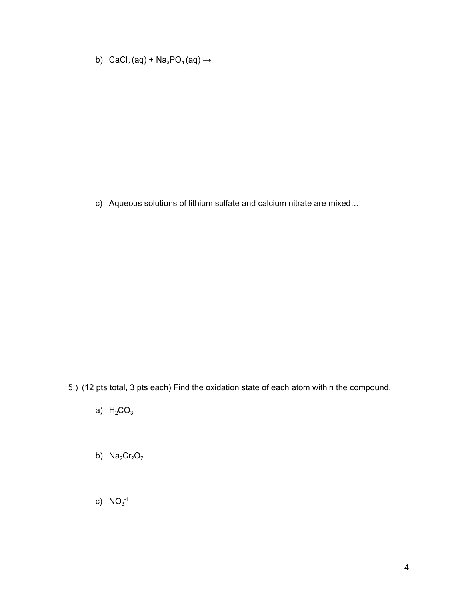b)  $\text{CaCl}_2(\text{aq}) + \text{Na}_3\text{PO}_4(\text{aq}) \rightarrow$ 

c) Aqueous solutions of lithium sulfate and calcium nitrate are mixed…

- 5.) (12 pts total, 3 pts each) Find the oxidation state of each atom within the compound.
	- a)  $H_2CO_3$
	- b)  $Na<sub>2</sub>Cr<sub>2</sub>O<sub>7</sub>$
	- c)  $NO_3^{-1}$